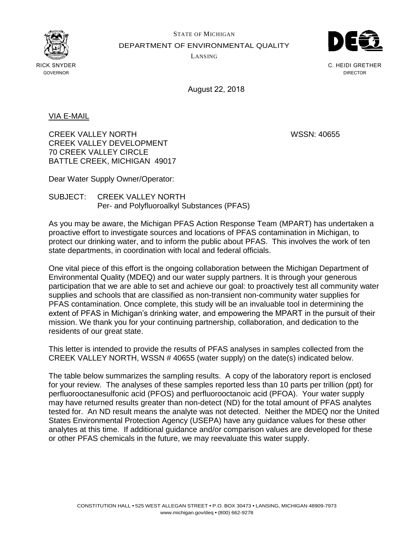

STATE OF MICHIGAN DEPARTMENT OF ENVIRONMENTAL QUALITY LANSING



C. HEIDI GRETHER DIRECTOR

August 22, 2018

VIA E-MAIL

CREEK VALLEY NORTH WSSN: 40655 CREEK VALLEY DEVELOPMENT 70 CREEK VALLEY CIRCLE BATTLE CREEK, MICHIGAN 49017

Dear Water Supply Owner/Operator:

SUBJECT: CREEK VALLEY NORTH Per- and Polyfluoroalkyl Substances (PFAS)

As you may be aware, the Michigan PFAS Action Response Team (MPART) has undertaken a proactive effort to investigate sources and locations of PFAS contamination in Michigan, to protect our drinking water, and to inform the public about PFAS. This involves the work of ten state departments, in coordination with local and federal officials.

One vital piece of this effort is the ongoing collaboration between the Michigan Department of Environmental Quality (MDEQ) and our water supply partners. It is through your generous participation that we are able to set and achieve our goal: to proactively test all community water supplies and schools that are classified as non-transient non-community water supplies for PFAS contamination. Once complete, this study will be an invaluable tool in determining the extent of PFAS in Michigan's drinking water, and empowering the MPART in the pursuit of their mission. We thank you for your continuing partnership, collaboration, and dedication to the residents of our great state.

This letter is intended to provide the results of PFAS analyses in samples collected from the CREEK VALLEY NORTH, WSSN # 40655 (water supply) on the date(s) indicated below.

The table below summarizes the sampling results. A copy of the laboratory report is enclosed for your review. The analyses of these samples reported less than 10 parts per trillion (ppt) for perfluorooctanesulfonic acid (PFOS) and perfluorooctanoic acid (PFOA). Your water supply may have returned results greater than non-detect (ND) for the total amount of PFAS analytes tested for. An ND result means the analyte was not detected. Neither the MDEQ nor the United States Environmental Protection Agency (USEPA) have any guidance values for these other analytes at this time. If additional guidance and/or comparison values are developed for these or other PFAS chemicals in the future, we may reevaluate this water supply.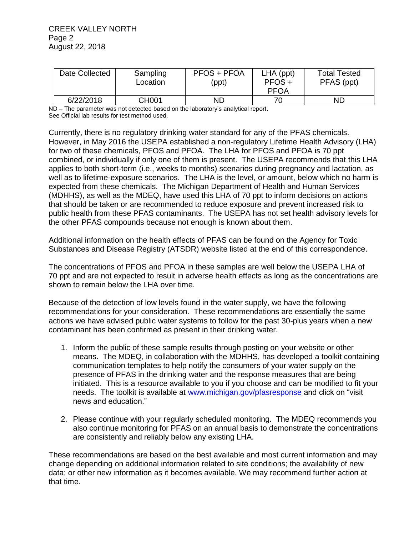| Date Collected | Sampling<br>Location | <b>PFOS + PFOA</b><br>(ppt) | $LHA$ (ppt)<br>$PFOS +$<br><b>PFOA</b> | <b>Total Tested</b><br>PFAS (ppt) |
|----------------|----------------------|-----------------------------|----------------------------------------|-----------------------------------|
| 6/22/2018      | <b>CH001</b>         | ND                          | 70                                     | <b>ND</b>                         |

ND – The parameter was not detected based on the laboratory's analytical report. See Official lab results for test method used.

Currently, there is no regulatory drinking water standard for any of the PFAS chemicals. However, in May 2016 the USEPA established a non-regulatory Lifetime Health Advisory (LHA) for two of these chemicals, PFOS and PFOA. The LHA for PFOS and PFOA is 70 ppt combined, or individually if only one of them is present. The USEPA recommends that this LHA applies to both short-term (i.e., weeks to months) scenarios during pregnancy and lactation, as well as to lifetime-exposure scenarios. The LHA is the level, or amount, below which no harm is expected from these chemicals. The Michigan Department of Health and Human Services (MDHHS), as well as the MDEQ, have used this LHA of 70 ppt to inform decisions on actions that should be taken or are recommended to reduce exposure and prevent increased risk to public health from these PFAS contaminants. The USEPA has not set health advisory levels for the other PFAS compounds because not enough is known about them.

Additional information on the health effects of PFAS can be found on the Agency for Toxic Substances and Disease Registry (ATSDR) website listed at the end of this correspondence.

The concentrations of PFOS and PFOA in these samples are well below the USEPA LHA of 70 ppt and are not expected to result in adverse health effects as long as the concentrations are shown to remain below the LHA over time.

Because of the detection of low levels found in the water supply, we have the following recommendations for your consideration. These recommendations are essentially the same actions we have advised public water systems to follow for the past 30-plus years when a new contaminant has been confirmed as present in their drinking water.

- 1. Inform the public of these sample results through posting on your website or other means. The MDEQ, in collaboration with the MDHHS, has developed a toolkit containing communication templates to help notify the consumers of your water supply on the presence of PFAS in the drinking water and the response measures that are being initiated. This is a resource available to you if you choose and can be modified to fit your needs. The toolkit is available at [www.michigan.gov/pfasresponse](http://www.michigan.gov/pfasresponse) and click on "visit news and education."
- 2. Please continue with your regularly scheduled monitoring. The MDEQ recommends you also continue monitoring for PFAS on an annual basis to demonstrate the concentrations are consistently and reliably below any existing LHA.

These recommendations are based on the best available and most current information and may change depending on additional information related to site conditions; the availability of new data; or other new information as it becomes available. We may recommend further action at that time.